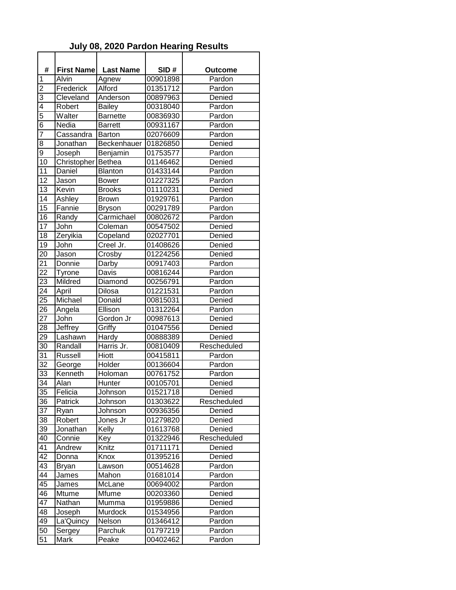## **July 08, 2020 Pardon Hearing Results**

| #               | <b>First Name</b> | <b>Last Name</b> | SID#     | Outcome     |
|-----------------|-------------------|------------------|----------|-------------|
| 1               | Alvin             | Agnew            | 00901898 | Pardon      |
| $\overline{c}$  | Frederick         | Alford           | 01351712 | Pardon      |
| 3               | Cleveland         | Anderson         | 00897963 | Denied      |
| 4               | Robert            | <b>Bailey</b>    | 00318040 | Pardon      |
| 5               | Walter            | <b>Barnette</b>  | 00836930 | Pardon      |
| 6               | Nedia             | <b>Barrett</b>   | 00931167 | Pardon      |
| $\overline{7}$  | Cassandra         | <b>Barton</b>    | 02076609 | Pardon      |
| 8               | Jonathan          | Beckenhauer      | 01826850 | Denied      |
| 9               | Joseph            | Benjamin         | 01753577 | Pardon      |
| 10              | Christopher       | <b>Bethea</b>    | 01146462 | Denied      |
| 11              | Daniel            | <b>Blanton</b>   | 01433144 | Pardon      |
| 12              | Jason             | <b>Bower</b>     | 01227325 | Pardon      |
| 13              | Kevin             | <b>Brooks</b>    | 01110231 | Denied      |
| 14              | Ashley            | <b>Brown</b>     | 01929761 | Pardon      |
| 15              | Fannie            | <b>Bryson</b>    | 00291789 | Pardon      |
| 16              | Randy             | Carmichael       | 00802672 | Pardon      |
| 17              | John              | Coleman          | 00547502 | Denied      |
| 18              | Zeryikia          | Copeland         | 02027701 | Denied      |
| 19              | John              | Creel Jr.        | 01408626 | Denied      |
| 20              | Jason             | Crosby           | 01224256 | Denied      |
| 21              | Donnie            | Darby            | 00917403 | Pardon      |
| 22              | <b>Tyrone</b>     | Davis            | 00816244 | Pardon      |
| 23              | Mildred           | Diamond          | 00256791 | Pardon      |
| 24              | April             | Dilosa           | 01221531 | Pardon      |
| 25              | Michael           | Donald           | 00815031 | Denied      |
| 26              | Angela            | Ellison          | 01312264 | Pardon      |
| 27              | John              | Gordon Jr        | 00987613 | Denied      |
| 28              | Jeffrey           | Griffy           | 01047556 | Denied      |
| 29              | Lashawn           | Hardy            | 00888389 | Denied      |
| 30              | Randall           | Harris Jr.       | 00810409 | Rescheduled |
| $3\overline{1}$ | Russell           | <b>Hiott</b>     | 00415811 | Pardon      |
| 32              | George            | Holder           | 00136604 | Pardon      |
| 33              | Kenneth           | Holoman          | 00761752 | Pardon      |
| $\overline{34}$ | Alan              | Hunter           | 00105701 | Denied      |
| 35              | Felicia           | Johnson          | 01521718 | Denied      |
| 36              | Patrick           | Johnson          | 01303622 | Rescheduled |
| 37              | Ryan              | Johnson          | 00936356 | Denied      |
| 38              | Robert            | Jones Jr         | 01279820 | Denied      |
| 39              | Jonathan          | Kelly            | 01613768 | Denied      |
| 40              | Connie            | Key              | 01322946 | Rescheduled |
| 41              | Andrew            | Knitz            | 01711171 | Denied      |
| 42              | Donna             | Knox             | 01395216 | Denied      |
| 43              | <b>Bryan</b>      | Lawson           | 00514628 | Pardon      |
| 44              | James             | Mahon            | 01681014 | Pardon      |
| 45              | James             | McLane           | 00694002 | Pardon      |
| 46              | Mtume             | Mfume            | 00203360 | Denied      |
| 47              | Nathan            | Mumma            | 01959886 | Denied      |
| 48              | Joseph            | Murdock          | 01534956 | Pardon      |
| 49              | La'Quincy         | Nelson           | 01346412 | Pardon      |
| 50              | Sergey            | Parchuk          | 01797219 | Pardon      |
| 51              | Mark              | Peake            | 00402462 | Pardon      |